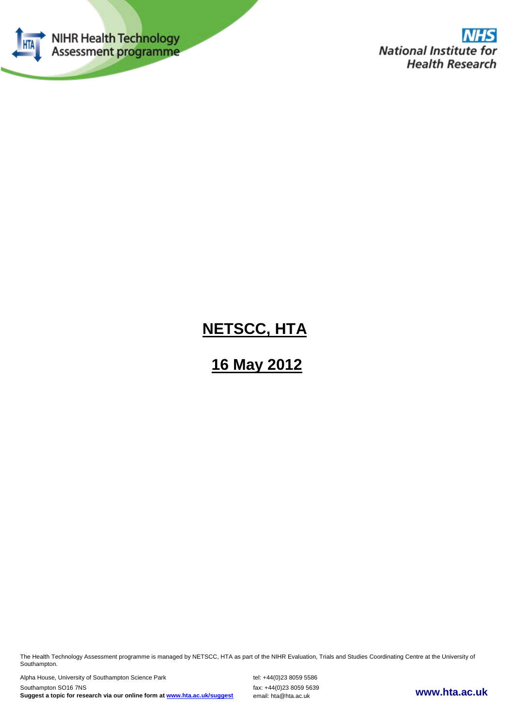

# **NETSCC, HTA**

# **16 May 2012**

The Health Technology Assessment programme is managed by NETSCC, HTA as part of the NIHR Evaluation, Trials and Studies Coordinating Centre at the University of Southampton.

Alpha House, University of Southampton Science Park tel: +44(0)23 8059 5586 **www.hta.ac.uk** Southampton SO16 7NS fax: +44(0)23 8059 5639 **Suggest a topic for research via our online form at [www.hta.ac.uk/suggest](http://www.hta.ac.uk/suggest)** email: hta@hta.ac.uk

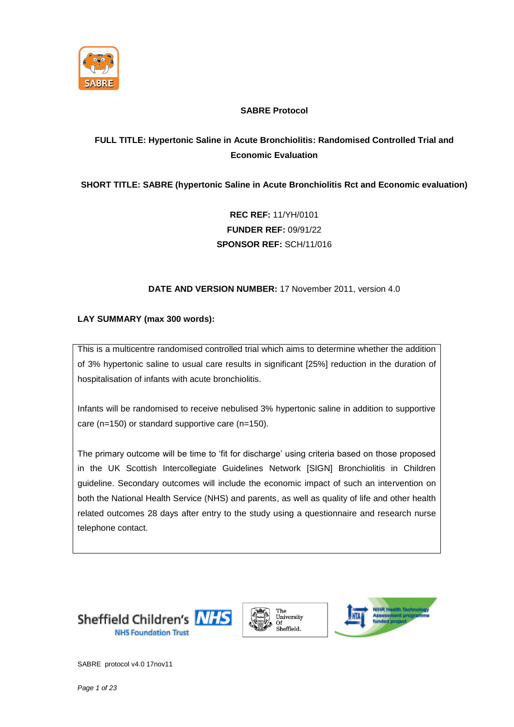

## **SABRE Protocol**

# **FULL TITLE: Hypertonic Saline in Acute Bronchiolitis: Randomised Controlled Trial and Economic Evaluation**

# **SHORT TITLE: SABRE (hypertonic Saline in Acute Bronchiolitis Rct and Economic evaluation)**

**REC REF:** 11/YH/0101 **FUNDER REF:** 09/91/22 **SPONSOR REF:** SCH/11/016

### **DATE AND VERSION NUMBER:** 17 November 2011, version 4.0

## **LAY SUMMARY (max 300 words):**

This is a multicentre randomised controlled trial which aims to determine whether the addition of 3% hypertonic saline to usual care results in significant [25%] reduction in the duration of hospitalisation of infants with acute bronchiolitis.

Infants will be randomised to receive nebulised 3% hypertonic saline in addition to supportive care (n=150) or standard supportive care (n=150).

The primary outcome will be time to 'fit for discharge' using criteria based on those proposed in the UK Scottish Intercollegiate Guidelines Network [SIGN] Bronchiolitis in Children guideline. Secondary outcomes will include the economic impact of such an intervention on both the National Health Service (NHS) and parents, as well as quality of life and other health related outcomes 28 days after entry to the study using a questionnaire and research nurse telephone contact.





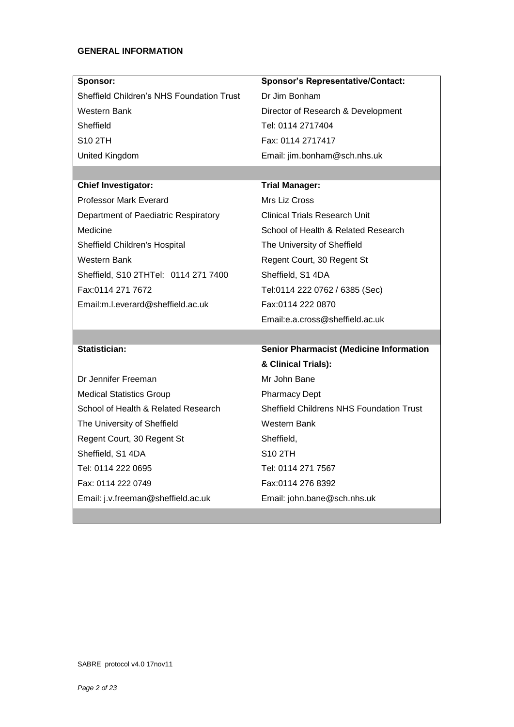#### **GENERAL INFORMATION**

| Sponsor:                                  | <b>Sponsor's Representative/Contact:</b>        |  |  |
|-------------------------------------------|-------------------------------------------------|--|--|
| Sheffield Children's NHS Foundation Trust | Dr Jim Bonham                                   |  |  |
| Western Bank                              | Director of Research & Development              |  |  |
| Sheffield                                 | Tel: 0114 2717404                               |  |  |
| <b>S10 2TH</b>                            | Fax: 0114 2717417                               |  |  |
| United Kingdom                            | Email: jim.bonham@sch.nhs.uk                    |  |  |
|                                           |                                                 |  |  |
| <b>Chief Investigator:</b>                | <b>Trial Manager:</b>                           |  |  |
| <b>Professor Mark Everard</b>             | Mrs Liz Cross                                   |  |  |
| Department of Paediatric Respiratory      | <b>Clinical Trials Research Unit</b>            |  |  |
| Medicine                                  | School of Health & Related Research             |  |  |
| Sheffield Children's Hospital             | The University of Sheffield                     |  |  |
| Western Bank                              | Regent Court, 30 Regent St                      |  |  |
| Sheffield, S10 2THTel: 0114 271 7400      | Sheffield, S1 4DA                               |  |  |
| Fax:0114 271 7672                         | Tel:0114 222 0762 / 6385 (Sec)                  |  |  |
| Email:m.l.everard@sheffield.ac.uk         | Fax:0114 222 0870                               |  |  |
|                                           | Email:e.a.cross@sheffield.ac.uk                 |  |  |
|                                           |                                                 |  |  |
| Statistician:                             | <b>Senior Pharmacist (Medicine Information</b>  |  |  |
|                                           | & Clinical Trials):                             |  |  |
| Dr Jennifer Freeman                       | Mr John Bane                                    |  |  |
| <b>Medical Statistics Group</b>           | <b>Pharmacy Dept</b>                            |  |  |
| School of Health & Related Research       | <b>Sheffield Childrens NHS Foundation Trust</b> |  |  |
| The University of Sheffield               | Western Bank                                    |  |  |

Medical Statistics Group School of Health & Related Research The University of Sheffield Regent Court, 30 Regent St Sheffield, S1 4DA Tel: 0114 222 0695 Fax: 0114 222 0749 Email: j.v.freeman@sheffield.ac.uk

Sheffield Childrens NHS Foundation Trust Sheffield, S10 2TH Tel: 0114 271 7567 Fax:0114 276 8392 Email: john.bane@sch.nhs.uk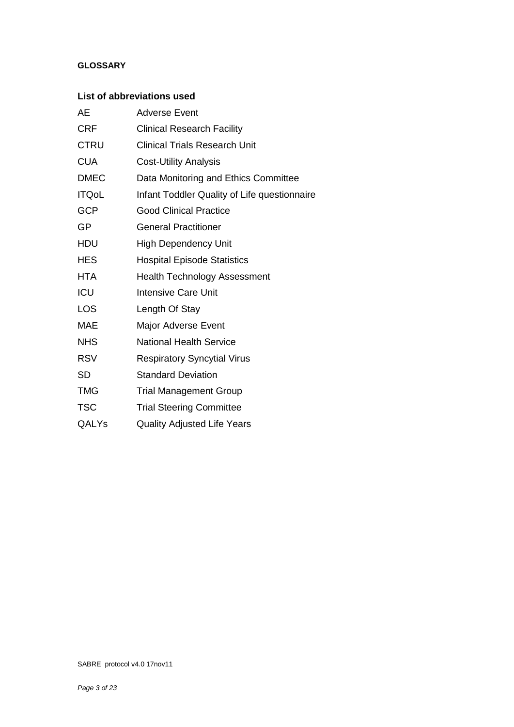# **GLOSSARY**

# **List of abbreviations used**

| AЕ           | <b>Adverse Event</b>                         |
|--------------|----------------------------------------------|
| <b>CRF</b>   | <b>Clinical Research Facility</b>            |
| <b>CTRU</b>  | <b>Clinical Trials Research Unit</b>         |
| <b>CUA</b>   | <b>Cost-Utility Analysis</b>                 |
| <b>DMEC</b>  | Data Monitoring and Ethics Committee         |
| <b>ITQoL</b> | Infant Toddler Quality of Life questionnaire |
| <b>GCP</b>   | <b>Good Clinical Practice</b>                |
| GP           | <b>General Practitioner</b>                  |
| <b>HDU</b>   | <b>High Dependency Unit</b>                  |
| <b>HES</b>   | <b>Hospital Episode Statistics</b>           |
| HTA          | <b>Health Technology Assessment</b>          |
| ICU          | <b>Intensive Care Unit</b>                   |
| <b>LOS</b>   | Length Of Stay                               |
| <b>MAE</b>   | <b>Major Adverse Event</b>                   |
| <b>NHS</b>   | <b>National Health Service</b>               |
| <b>RSV</b>   | <b>Respiratory Syncytial Virus</b>           |
| <b>SD</b>    | <b>Standard Deviation</b>                    |
| <b>TMG</b>   | <b>Trial Management Group</b>                |
| <b>TSC</b>   | <b>Trial Steering Committee</b>              |
| QALYs        | <b>Quality Adjusted Life Years</b>           |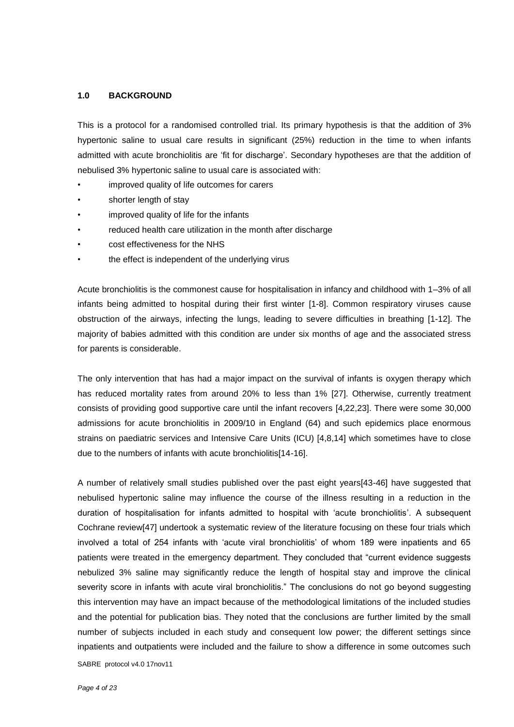#### **1.0 BACKGROUND**

This is a protocol for a randomised controlled trial. Its primary hypothesis is that the addition of 3% hypertonic saline to usual care results in significant (25%) reduction in the time to when infants admitted with acute bronchiolitis are 'fit for discharge'. Secondary hypotheses are that the addition of nebulised 3% hypertonic saline to usual care is associated with:

- improved quality of life outcomes for carers
- shorter length of stay
- improved quality of life for the infants
- reduced health care utilization in the month after discharge
- cost effectiveness for the NHS
- the effect is independent of the underlying virus

Acute bronchiolitis is the commonest cause for hospitalisation in infancy and childhood with 1–3% of all infants being admitted to hospital during their first winter [1-8]. Common respiratory viruses cause obstruction of the airways, infecting the lungs, leading to severe difficulties in breathing [1-12]. The majority of babies admitted with this condition are under six months of age and the associated stress for parents is considerable.

The only intervention that has had a major impact on the survival of infants is oxygen therapy which has reduced mortality rates from around 20% to less than 1% [27]. Otherwise, currently treatment consists of providing good supportive care until the infant recovers [4,22,23]. There were some 30,000 admissions for acute bronchiolitis in 2009/10 in England (64) and such epidemics place enormous strains on paediatric services and Intensive Care Units (ICU) [4,8,14] which sometimes have to close due to the numbers of infants with acute bronchiolitis[14-16].

SABRE protocol v4.0 17nov11 A number of relatively small studies published over the past eight years[43-46] have suggested that nebulised hypertonic saline may influence the course of the illness resulting in a reduction in the duration of hospitalisation for infants admitted to hospital with 'acute bronchiolitis'. A subsequent Cochrane review[47] undertook a systematic review of the literature focusing on these four trials which involved a total of 254 infants with 'acute viral bronchiolitis' of whom 189 were inpatients and 65 patients were treated in the emergency department. They concluded that "current evidence suggests nebulized 3% saline may significantly reduce the length of hospital stay and improve the clinical severity score in infants with acute viral bronchiolitis." The conclusions do not go beyond suggesting this intervention may have an impact because of the methodological limitations of the included studies and the potential for publication bias. They noted that the conclusions are further limited by the small number of subjects included in each study and consequent low power; the different settings since inpatients and outpatients were included and the failure to show a difference in some outcomes such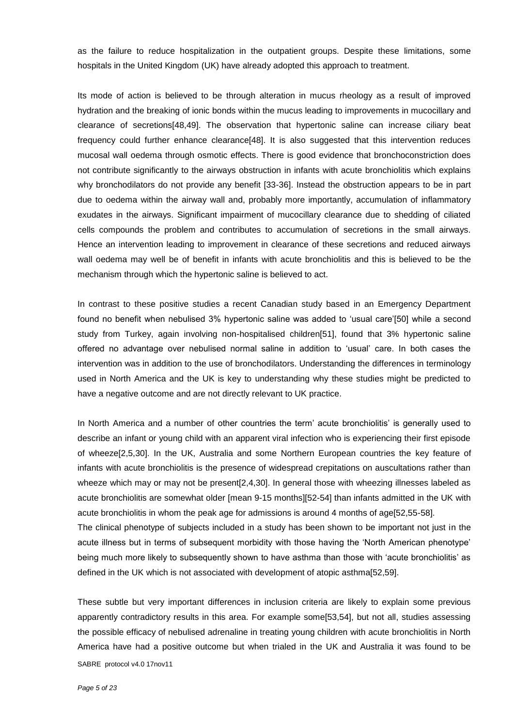as the failure to reduce hospitalization in the outpatient groups. Despite these limitations, some hospitals in the United Kingdom (UK) have already adopted this approach to treatment.

Its mode of action is believed to be through alteration in mucus rheology as a result of improved hydration and the breaking of ionic bonds within the mucus leading to improvements in mucocillary and clearance of secretions[48,49]. The observation that hypertonic saline can increase ciliary beat frequency could further enhance clearance<sup>[48]</sup>. It is also suggested that this intervention reduces mucosal wall oedema through osmotic effects. There is good evidence that bronchoconstriction does not contribute significantly to the airways obstruction in infants with acute bronchiolitis which explains why bronchodilators do not provide any benefit [33-36]. Instead the obstruction appears to be in part due to oedema within the airway wall and, probably more importantly, accumulation of inflammatory exudates in the airways. Significant impairment of mucocillary clearance due to shedding of ciliated cells compounds the problem and contributes to accumulation of secretions in the small airways. Hence an intervention leading to improvement in clearance of these secretions and reduced airways wall oedema may well be of benefit in infants with acute bronchiolitis and this is believed to be the mechanism through which the hypertonic saline is believed to act.

In contrast to these positive studies a recent Canadian study based in an Emergency Department found no benefit when nebulised 3% hypertonic saline was added to 'usual care'[50] while a second study from Turkey, again involving non-hospitalised children[51], found that 3% hypertonic saline offered no advantage over nebulised normal saline in addition to 'usual' care. In both cases the intervention was in addition to the use of bronchodilators. Understanding the differences in terminology used in North America and the UK is key to understanding why these studies might be predicted to have a negative outcome and are not directly relevant to UK practice.

In North America and a number of other countries the term' acute bronchiolitis' is generally used to describe an infant or young child with an apparent viral infection who is experiencing their first episode of wheeze[2,5,30]. In the UK, Australia and some Northern European countries the key feature of infants with acute bronchiolitis is the presence of widespread crepitations on auscultations rather than wheeze which may or may not be present[2,4,30]. In general those with wheezing illnesses labeled as acute bronchiolitis are somewhat older [mean 9-15 months][52-54] than infants admitted in the UK with acute bronchiolitis in whom the peak age for admissions is around 4 months of age[52,55-58]. The clinical phenotype of subjects included in a study has been shown to be important not just in the acute illness but in terms of subsequent morbidity with those having the 'North American phenotype' being much more likely to subsequently shown to have asthma than those with 'acute bronchiolitis' as

SABRE protocol v4.0 17nov11 These subtle but very important differences in inclusion criteria are likely to explain some previous apparently contradictory results in this area. For example some[53,54], but not all, studies assessing the possible efficacy of nebulised adrenaline in treating young children with acute bronchiolitis in North America have had a positive outcome but when trialed in the UK and Australia it was found to be

defined in the UK which is not associated with development of atopic asthma[52,59].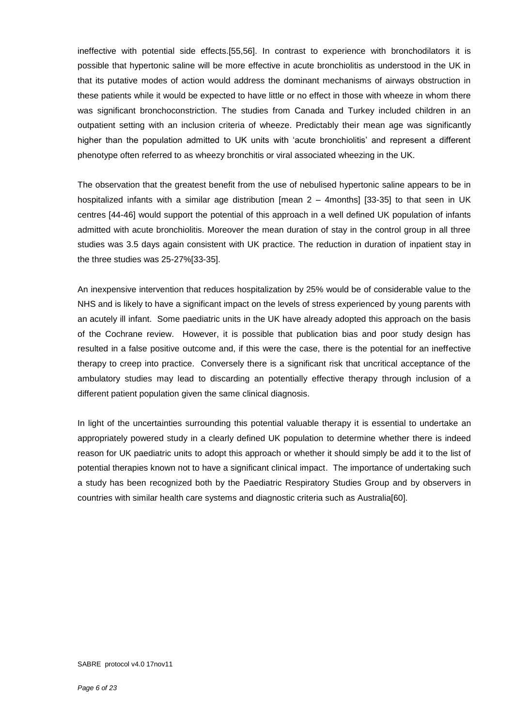ineffective with potential side effects.[55,56]. In contrast to experience with bronchodilators it is possible that hypertonic saline will be more effective in acute bronchiolitis as understood in the UK in that its putative modes of action would address the dominant mechanisms of airways obstruction in these patients while it would be expected to have little or no effect in those with wheeze in whom there was significant bronchoconstriction. The studies from Canada and Turkey included children in an outpatient setting with an inclusion criteria of wheeze. Predictably their mean age was significantly higher than the population admitted to UK units with 'acute bronchiolitis' and represent a different phenotype often referred to as wheezy bronchitis or viral associated wheezing in the UK.

The observation that the greatest benefit from the use of nebulised hypertonic saline appears to be in hospitalized infants with a similar age distribution [mean 2 – 4months] [33-35] to that seen in UK centres [44-46] would support the potential of this approach in a well defined UK population of infants admitted with acute bronchiolitis. Moreover the mean duration of stay in the control group in all three studies was 3.5 days again consistent with UK practice. The reduction in duration of inpatient stay in the three studies was 25-27%[33-35].

An inexpensive intervention that reduces hospitalization by 25% would be of considerable value to the NHS and is likely to have a significant impact on the levels of stress experienced by young parents with an acutely ill infant. Some paediatric units in the UK have already adopted this approach on the basis of the Cochrane review. However, it is possible that publication bias and poor study design has resulted in a false positive outcome and, if this were the case, there is the potential for an ineffective therapy to creep into practice. Conversely there is a significant risk that uncritical acceptance of the ambulatory studies may lead to discarding an potentially effective therapy through inclusion of a different patient population given the same clinical diagnosis.

In light of the uncertainties surrounding this potential valuable therapy it is essential to undertake an appropriately powered study in a clearly defined UK population to determine whether there is indeed reason for UK paediatric units to adopt this approach or whether it should simply be add it to the list of potential therapies known not to have a significant clinical impact. The importance of undertaking such a study has been recognized both by the Paediatric Respiratory Studies Group and by observers in countries with similar health care systems and diagnostic criteria such as Australia[60].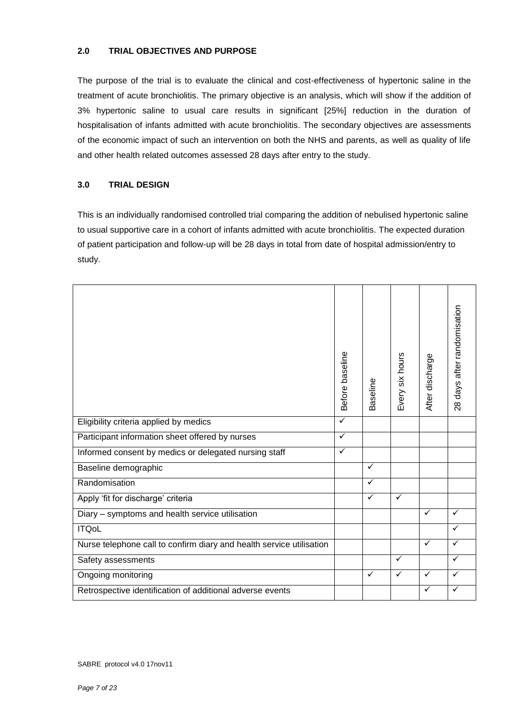#### **2.0 TRIAL OBJECTIVES AND PURPOSE**

The purpose of the trial is to evaluate the clinical and cost-effectiveness of hypertonic saline in the treatment of acute bronchiolitis. The primary objective is an analysis, which will show if the addition of 3% hypertonic saline to usual care results in significant [25%] reduction in the duration of hospitalisation of infants admitted with acute bronchiolitis. The secondary objectives are assessments of the economic impact of such an intervention on both the NHS and parents, as well as quality of life and other health related outcomes assessed 28 days after entry to the study.

#### **3.0 TRIAL DESIGN**

This is an individually randomised controlled trial comparing the addition of nebulised hypertonic saline to usual supportive care in a cohort of infants admitted with acute bronchiolitis. The expected duration of patient participation and follow-up will be 28 days in total from date of hospital admission/entry to study.

|                                                                      | Before baseline | Baseline     | Every six hours | After discharge | days after randomisation<br>$\frac{8}{2}$ |
|----------------------------------------------------------------------|-----------------|--------------|-----------------|-----------------|-------------------------------------------|
| Eligibility criteria applied by medics                               | $\checkmark$    |              |                 |                 |                                           |
| Participant information sheet offered by nurses                      | $\checkmark$    |              |                 |                 |                                           |
| Informed consent by medics or delegated nursing staff                | $\checkmark$    |              |                 |                 |                                           |
| Baseline demographic                                                 |                 | ✓            |                 |                 |                                           |
| Randomisation                                                        |                 | ✓            |                 |                 |                                           |
| Apply 'fit for discharge' criteria                                   |                 | ✓            | $\checkmark$    |                 |                                           |
| Diary - symptoms and health service utilisation                      |                 |              |                 | $\checkmark$    | ✓                                         |
| <b>ITQoL</b>                                                         |                 |              |                 |                 | ✓                                         |
| Nurse telephone call to confirm diary and health service utilisation |                 |              |                 | $\checkmark$    | ✓                                         |
| Safety assessments                                                   |                 |              | ✓               |                 | ✓                                         |
| Ongoing monitoring                                                   |                 | $\checkmark$ | $\checkmark$    | $\checkmark$    | ✓                                         |
| Retrospective identification of additional adverse events            |                 |              |                 | ✓               |                                           |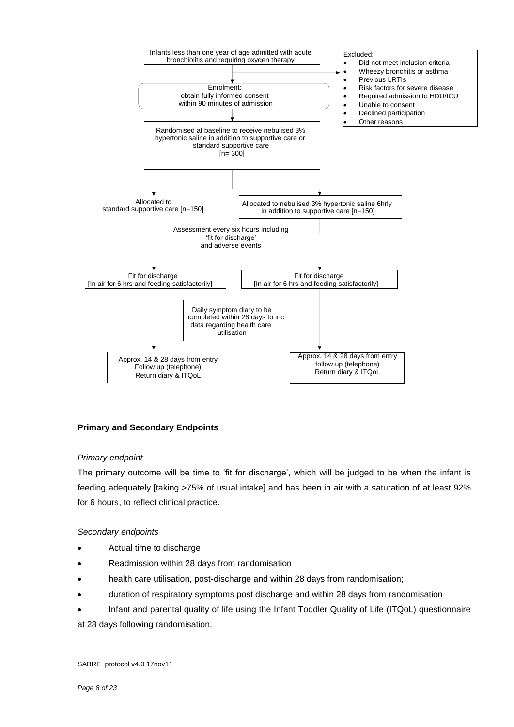

#### **Primary and Secondary Endpoints**

#### *Primary endpoint*

The primary outcome will be time to 'fit for discharge', which will be judged to be when the infant is feeding adequately [taking >75% of usual intake] and has been in air with a saturation of at least 92% for 6 hours, to reflect clinical practice.

#### *Secondary endpoints*

- Actual time to discharge
- Readmission within 28 days from randomisation
- health care utilisation, post-discharge and within 28 days from randomisation;
- duration of respiratory symptoms post discharge and within 28 days from randomisation
- Infant and parental quality of life using the Infant Toddler Quality of Life (ITQoL) questionnaire

at 28 days following randomisation.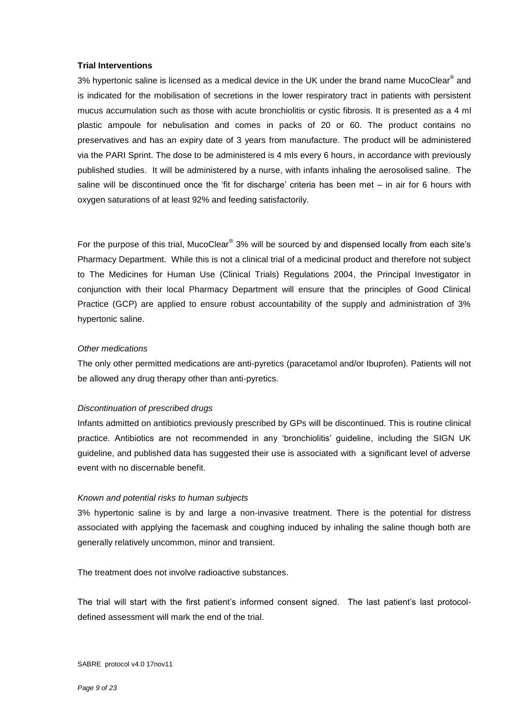#### **Trial Interventions**

3% hypertonic saline is licensed as a medical device in the UK under the brand name [MucoClear](http://www.pari.de/fileadmin/user_upload/instruction_for_use/MucoClear-3-077D0023.pdf) $^{\circledast}$  and is indicated for the mobilisation of secretions in the lower respiratory tract in patients with persistent mucus accumulation such as those with acute bronchiolitis or cystic fibrosis. It is presented as a 4 ml plastic ampoule for nebulisation and comes in packs of 20 or 60. The product contains no preservatives and has an expiry date of 3 years from manufacture. The product will be administered via the PARI Sprint. The dose to be administered is 4 mls every 6 hours, in accordance with previously published studies. It will be administered by a nurse, with infants inhaling the aerosolised saline. The saline will be discontinued once the 'fit for discharge' criteria has been met – in air for 6 hours with oxygen saturations of at least 92% and feeding satisfactorily.

For the purpose of this trial, MucoClear<sup>®</sup> 3% will be sourced by and dispensed locally from each site's Pharmacy Department. While this is not a clinical trial of a medicinal product and therefore not subject to The Medicines for Human Use (Clinical Trials) Regulations 2004, the Principal Investigator in conjunction with their local Pharmacy Department will ensure that the principles of Good Clinical Practice (GCP) are applied to ensure robust accountability of the supply and administration of 3% hypertonic saline.

#### *Other medications*

The only other permitted medications are anti-pyretics (paracetamol and/or Ibuprofen). Patients will not be allowed any drug therapy other than anti-pyretics.

#### *Discontinuation of prescribed drugs*

Infants admitted on antibiotics previously prescribed by GPs will be discontinued. This is routine clinical practice. Antibiotics are not recommended in any 'bronchiolitis' guideline, including the SIGN UK guideline, and published data has suggested their use is associated with a significant level of adverse event with no discernable benefit.

#### *Known and potential risks to human subjects*

3% hypertonic saline is by and large a non-invasive treatment. There is the potential for distress associated with applying the facemask and coughing induced by inhaling the saline though both are generally relatively uncommon, minor and transient.

The treatment does not involve radioactive substances.

The trial will start with the first patient's informed consent signed. The last patient's last protocoldefined assessment will mark the end of the trial.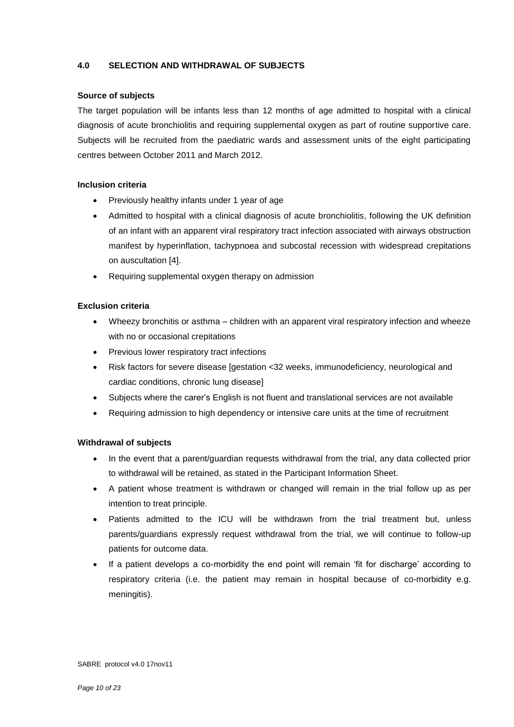#### **4.0 SELECTION AND WITHDRAWAL OF SUBJECTS**

#### **Source of subjects**

The target population will be infants less than 12 months of age admitted to hospital with a clinical diagnosis of acute bronchiolitis and requiring supplemental oxygen as part of routine supportive care. Subjects will be recruited from the paediatric wards and assessment units of the eight participating centres between October 2011 and March 2012.

#### **Inclusion criteria**

- Previously healthy infants under 1 year of age
- Admitted to hospital with a clinical diagnosis of acute bronchiolitis, following the UK definition of an infant with an apparent viral respiratory tract infection associated with airways obstruction manifest by hyperinflation, tachypnoea and subcostal recession with widespread crepitations on auscultation [4].
- Requiring supplemental oxygen therapy on admission

#### **Exclusion criteria**

- Wheezy bronchitis or asthma children with an apparent viral respiratory infection and wheeze with no or occasional crepitations
- Previous lower respiratory tract infections
- Risk factors for severe disease [gestation <32 weeks, immunodeficiency, neurological and cardiac conditions, chronic lung disease]
- Subjects where the carer's English is not fluent and translational services are not available
- Requiring admission to high dependency or intensive care units at the time of recruitment

#### **Withdrawal of subjects**

- In the event that a parent/guardian requests withdrawal from the trial, any data collected prior to withdrawal will be retained, as stated in the Participant Information Sheet.
- A patient whose treatment is withdrawn or changed will remain in the trial follow up as per intention to treat principle.
- Patients admitted to the ICU will be withdrawn from the trial treatment but, unless parents/guardians expressly request withdrawal from the trial, we will continue to follow-up patients for outcome data.
- If a patient develops a co-morbidity the end point will remain 'fit for discharge' according to respiratory criteria (i.e. the patient may remain in hospital because of co-morbidity e.g. meningitis).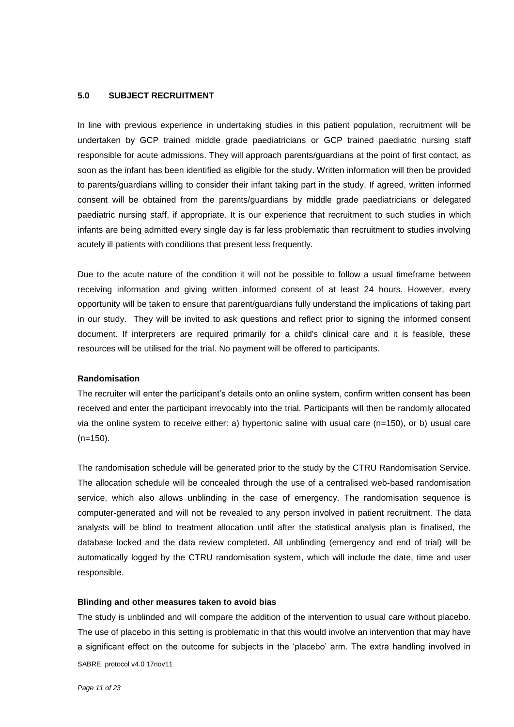#### **5.0 SUBJECT RECRUITMENT**

In line with previous experience in undertaking studies in this patient population, recruitment will be undertaken by GCP trained middle grade paediatricians or GCP trained paediatric nursing staff responsible for acute admissions. They will approach parents/guardians at the point of first contact, as soon as the infant has been identified as eligible for the study. Written information will then be provided to parents/guardians willing to consider their infant taking part in the study. If agreed, written informed consent will be obtained from the parents/guardians by middle grade paediatricians or delegated paediatric nursing staff, if appropriate. It is our experience that recruitment to such studies in which infants are being admitted every single day is far less problematic than recruitment to studies involving acutely ill patients with conditions that present less frequently.

Due to the acute nature of the condition it will not be possible to follow a usual timeframe between receiving information and giving written informed consent of at least 24 hours. However, every opportunity will be taken to ensure that parent/guardians fully understand the implications of taking part in our study. They will be invited to ask questions and reflect prior to signing the informed consent document. If interpreters are required primarily for a child's clinical care and it is feasible, these resources will be utilised for the trial. No payment will be offered to participants.

#### **Randomisation**

The recruiter will enter the participant's details onto an online system, confirm written consent has been received and enter the participant irrevocably into the trial. Participants will then be randomly allocated via the online system to receive either: a) hypertonic saline with usual care (n=150), or b) usual care (n=150).

The randomisation schedule will be generated prior to the study by the CTRU Randomisation Service. The allocation schedule will be concealed through the use of a centralised web-based randomisation service, which also allows unblinding in the case of emergency. The randomisation sequence is computer-generated and will not be revealed to any person involved in patient recruitment. The data analysts will be blind to treatment allocation until after the statistical analysis plan is finalised, the database locked and the data review completed. All unblinding (emergency and end of trial) will be automatically logged by the CTRU randomisation system, which will include the date, time and user responsible.

#### **Blinding and other measures taken to avoid bias**

SABRE protocol v4.0 17nov11 The study is unblinded and will compare the addition of the intervention to usual care without placebo. The use of placebo in this setting is problematic in that this would involve an intervention that may have a significant effect on the outcome for subjects in the 'placebo' arm. The extra handling involved in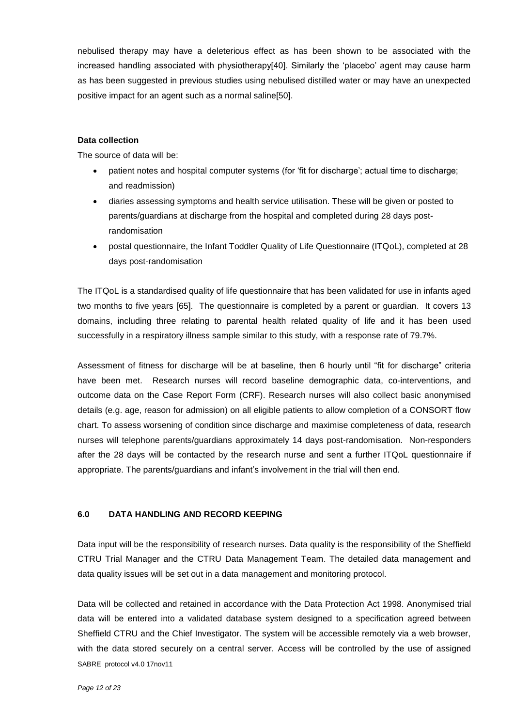nebulised therapy may have a deleterious effect as has been shown to be associated with the increased handling associated with physiotherapy[40]. Similarly the 'placebo' agent may cause harm as has been suggested in previous studies using nebulised distilled water or may have an unexpected positive impact for an agent such as a normal saline[50].

#### **Data collection**

The source of data will be:

- patient notes and hospital computer systems (for 'fit for discharge'; actual time to discharge; and readmission)
- diaries assessing symptoms and health service utilisation. These will be given or posted to parents/guardians at discharge from the hospital and completed during 28 days postrandomisation
- postal questionnaire, the Infant Toddler Quality of Life Questionnaire (ITQoL), completed at 28 days post-randomisation

The ITQoL is a standardised quality of life questionnaire that has been validated for use in infants aged two months to five years [65]. The questionnaire is completed by a parent or guardian. It covers 13 domains, including three relating to parental health related quality of life and it has been used successfully in a respiratory illness sample similar to this study, with a response rate of 79.7%.

Assessment of fitness for discharge will be at baseline, then 6 hourly until "fit for discharge" criteria have been met. Research nurses will record baseline demographic data, co-interventions, and outcome data on the Case Report Form (CRF). Research nurses will also collect basic anonymised details (e.g. age, reason for admission) on all eligible patients to allow completion of a CONSORT flow chart. To assess worsening of condition since discharge and maximise completeness of data, research nurses will telephone parents/guardians approximately 14 days post-randomisation. Non-responders after the 28 days will be contacted by the research nurse and sent a further ITQoL questionnaire if appropriate. The parents/guardians and infant's involvement in the trial will then end.

#### **6.0 DATA HANDLING AND RECORD KEEPING**

Data input will be the responsibility of research nurses. Data quality is the responsibility of the Sheffield CTRU Trial Manager and the CTRU Data Management Team. The detailed data management and data quality issues will be set out in a data management and monitoring protocol.

SABRE protocol v4.0 17nov11 Data will be collected and retained in accordance with the Data Protection Act 1998. Anonymised trial data will be entered into a validated database system designed to a specification agreed between Sheffield CTRU and the Chief Investigator. The system will be accessible remotely via a web browser, with the data stored securely on a central server. Access will be controlled by the use of assigned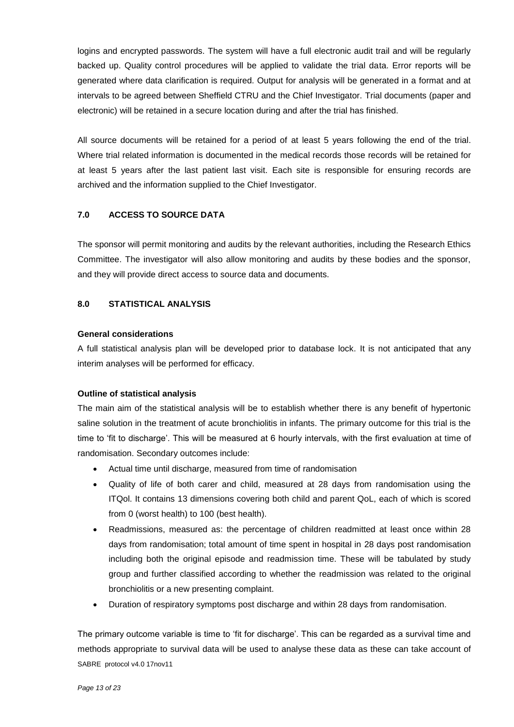logins and encrypted passwords. The system will have a full electronic audit trail and will be regularly backed up. Quality control procedures will be applied to validate the trial data. Error reports will be generated where data clarification is required. Output for analysis will be generated in a format and at intervals to be agreed between Sheffield CTRU and the Chief Investigator. Trial documents (paper and electronic) will be retained in a secure location during and after the trial has finished.

All source documents will be retained for a period of at least 5 years following the end of the trial. Where trial related information is documented in the medical records those records will be retained for at least 5 years after the last patient last visit. Each site is responsible for ensuring records are archived and the information supplied to the Chief Investigator.

#### **7.0 ACCESS TO SOURCE DATA**

The sponsor will permit monitoring and audits by the relevant authorities, including the Research Ethics Committee. The investigator will also allow monitoring and audits by these bodies and the sponsor, and they will provide direct access to source data and documents.

#### **8.0 STATISTICAL ANALYSIS**

#### **General considerations**

A full statistical analysis plan will be developed prior to database lock. It is not anticipated that any interim analyses will be performed for efficacy.

#### **Outline of statistical analysis**

The main aim of the statistical analysis will be to establish whether there is any benefit of hypertonic saline solution in the treatment of acute bronchiolitis in infants. The primary outcome for this trial is the time to 'fit to discharge'. This will be measured at 6 hourly intervals, with the first evaluation at time of randomisation. Secondary outcomes include:

- Actual time until discharge, measured from time of randomisation
- Quality of life of both carer and child, measured at 28 days from randomisation using the ITQol. It contains 13 dimensions covering both child and parent QoL, each of which is scored from 0 (worst health) to 100 (best health).
- Readmissions, measured as: the percentage of children readmitted at least once within 28 days from randomisation; total amount of time spent in hospital in 28 days post randomisation including both the original episode and readmission time. These will be tabulated by study group and further classified according to whether the readmission was related to the original bronchiolitis or a new presenting complaint.
- Duration of respiratory symptoms post discharge and within 28 days from randomisation.

SABRE protocol v4.0 17nov11 The primary outcome variable is time to 'fit for discharge'. This can be regarded as a survival time and methods appropriate to survival data will be used to analyse these data as these can take account of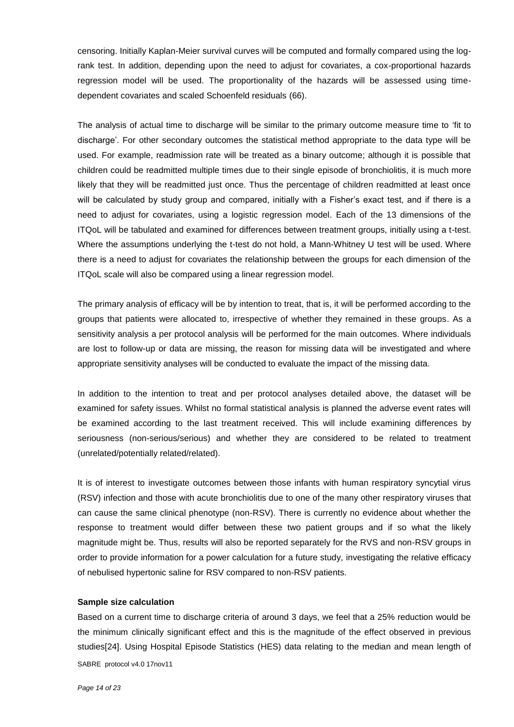censoring. Initially Kaplan-Meier survival curves will be computed and formally compared using the logrank test. In addition, depending upon the need to adjust for covariates, a cox-proportional hazards regression model will be used. The proportionality of the hazards will be assessed using timedependent covariates and scaled Schoenfeld residuals (66).

The analysis of actual time to discharge will be similar to the primary outcome measure time to 'fit to discharge'. For other secondary outcomes the statistical method appropriate to the data type will be used. For example, readmission rate will be treated as a binary outcome; although it is possible that children could be readmitted multiple times due to their single episode of bronchiolitis, it is much more likely that they will be readmitted just once. Thus the percentage of children readmitted at least once will be calculated by study group and compared, initially with a Fisher's exact test, and if there is a need to adjust for covariates, using a logistic regression model. Each of the 13 dimensions of the ITQoL will be tabulated and examined for differences between treatment groups, initially using a t-test. Where the assumptions underlying the t-test do not hold, a Mann-Whitney U test will be used. Where there is a need to adjust for covariates the relationship between the groups for each dimension of the ITQoL scale will also be compared using a linear regression model.

The primary analysis of efficacy will be by intention to treat, that is, it will be performed according to the groups that patients were allocated to, irrespective of whether they remained in these groups. As a sensitivity analysis a per protocol analysis will be performed for the main outcomes. Where individuals are lost to follow-up or data are missing, the reason for missing data will be investigated and where appropriate sensitivity analyses will be conducted to evaluate the impact of the missing data.

In addition to the intention to treat and per protocol analyses detailed above, the dataset will be examined for safety issues. Whilst no formal statistical analysis is planned the adverse event rates will be examined according to the last treatment received. This will include examining differences by seriousness (non-serious/serious) and whether they are considered to be related to treatment (unrelated/potentially related/related).

It is of interest to investigate outcomes between those infants with human respiratory syncytial virus (RSV) infection and those with acute bronchiolitis due to one of the many other respiratory viruses that can cause the same clinical phenotype (non-RSV). There is currently no evidence about whether the response to treatment would differ between these two patient groups and if so what the likely magnitude might be. Thus, results will also be reported separately for the RVS and non-RSV groups in order to provide information for a power calculation for a future study, investigating the relative efficacy of nebulised hypertonic saline for RSV compared to non-RSV patients.

#### **Sample size calculation**

SABRE protocol v4.0 17nov11 Based on a current time to discharge criteria of around 3 days, we feel that a 25% reduction would be the minimum clinically significant effect and this is the magnitude of the effect observed in previous studies[24]. Using Hospital Episode Statistics (HES) data relating to the median and mean length of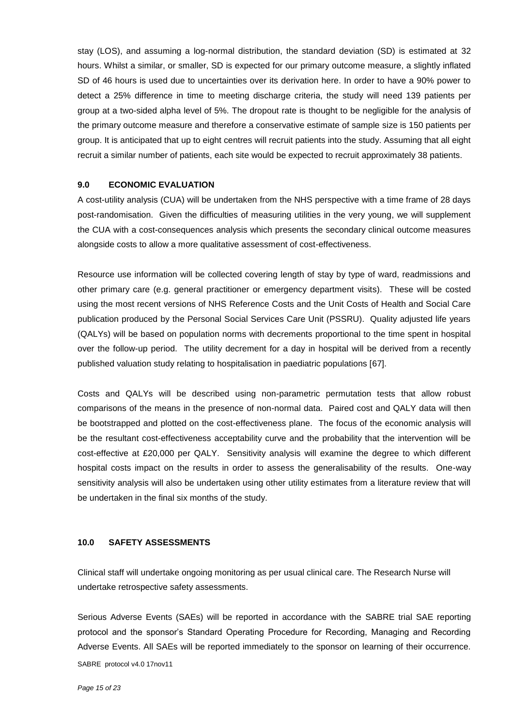stay (LOS), and assuming a log-normal distribution, the standard deviation (SD) is estimated at 32 hours. Whilst a similar, or smaller, SD is expected for our primary outcome measure, a slightly inflated SD of 46 hours is used due to uncertainties over its derivation here. In order to have a 90% power to detect a 25% difference in time to meeting discharge criteria, the study will need 139 patients per group at a two-sided alpha level of 5%. The dropout rate is thought to be negligible for the analysis of the primary outcome measure and therefore a conservative estimate of sample size is 150 patients per group. It is anticipated that up to eight centres will recruit patients into the study. Assuming that all eight recruit a similar number of patients, each site would be expected to recruit approximately 38 patients.

#### **9.0 ECONOMIC EVALUATION**

A cost-utility analysis (CUA) will be undertaken from the NHS perspective with a time frame of 28 days post-randomisation. Given the difficulties of measuring utilities in the very young, we will supplement the CUA with a cost-consequences analysis which presents the secondary clinical outcome measures alongside costs to allow a more qualitative assessment of cost-effectiveness.

Resource use information will be collected covering length of stay by type of ward, readmissions and other primary care (e.g. general practitioner or emergency department visits). These will be costed using the most recent versions of NHS Reference Costs and the Unit Costs of Health and Social Care publication produced by the Personal Social Services Care Unit (PSSRU). Quality adjusted life years (QALYs) will be based on population norms with decrements proportional to the time spent in hospital over the follow-up period. The utility decrement for a day in hospital will be derived from a recently published valuation study relating to hospitalisation in paediatric populations [67].

Costs and QALYs will be described using non-parametric permutation tests that allow robust comparisons of the means in the presence of non-normal data. Paired cost and QALY data will then be bootstrapped and plotted on the cost-effectiveness plane. The focus of the economic analysis will be the resultant cost-effectiveness acceptability curve and the probability that the intervention will be cost-effective at £20,000 per QALY. Sensitivity analysis will examine the degree to which different hospital costs impact on the results in order to assess the generalisability of the results. One-way sensitivity analysis will also be undertaken using other utility estimates from a literature review that will be undertaken in the final six months of the study.

#### **10.0 SAFETY ASSESSMENTS**

Clinical staff will undertake ongoing monitoring as per usual clinical care. The Research Nurse will undertake retrospective safety assessments.

SABRE protocol v4.0 17nov11 Serious Adverse Events (SAEs) will be reported in accordance with the SABRE trial SAE reporting protocol and the sponsor's Standard Operating Procedure for Recording, Managing and Recording Adverse Events. All SAEs will be reported immediately to the sponsor on learning of their occurrence.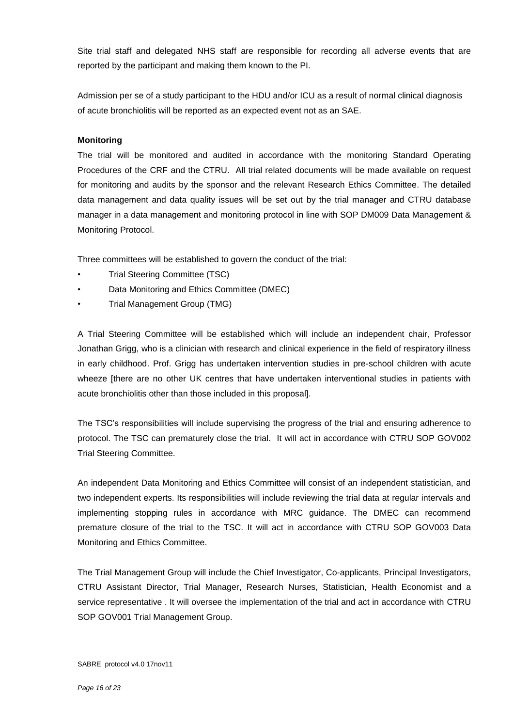Site trial staff and delegated NHS staff are responsible for recording all adverse events that are reported by the participant and making them known to the PI.

Admission per se of a study participant to the HDU and/or ICU as a result of normal clinical diagnosis of acute bronchiolitis will be reported as an expected event not as an SAE.

#### **Monitoring**

The trial will be monitored and audited in accordance with the monitoring Standard Operating Procedures of the CRF and the CTRU. All trial related documents will be made available on request for monitoring and audits by the sponsor and the relevant Research Ethics Committee. The detailed data management and data quality issues will be set out by the trial manager and CTRU database manager in a data management and monitoring protocol in line with SOP DM009 Data Management & Monitoring Protocol.

Three committees will be established to govern the conduct of the trial:

- Trial Steering Committee (TSC)
- Data Monitoring and Ethics Committee (DMEC)
- Trial Management Group (TMG)

A Trial Steering Committee will be established which will include an independent chair, Professor Jonathan Grigg, who is a clinician with research and clinical experience in the field of respiratory illness in early childhood. Prof. Grigg has undertaken intervention studies in pre-school children with acute wheeze [there are no other UK centres that have undertaken interventional studies in patients with acute bronchiolitis other than those included in this proposal].

The TSC's responsibilities will include supervising the progress of the trial and ensuring adherence to protocol. The TSC can prematurely close the trial. It will act in accordance with CTRU SOP GOV002 Trial Steering Committee.

An independent Data Monitoring and Ethics Committee will consist of an independent statistician, and two independent experts. Its responsibilities will include reviewing the trial data at regular intervals and implementing stopping rules in accordance with MRC guidance. The DMEC can recommend premature closure of the trial to the TSC. It will act in accordance with CTRU SOP GOV003 Data Monitoring and Ethics Committee.

The Trial Management Group will include the Chief Investigator, Co-applicants, Principal Investigators, CTRU Assistant Director, Trial Manager, Research Nurses, Statistician, Health Economist and a service representative . It will oversee the implementation of the trial and act in accordance with CTRU SOP GOV001 Trial Management Group.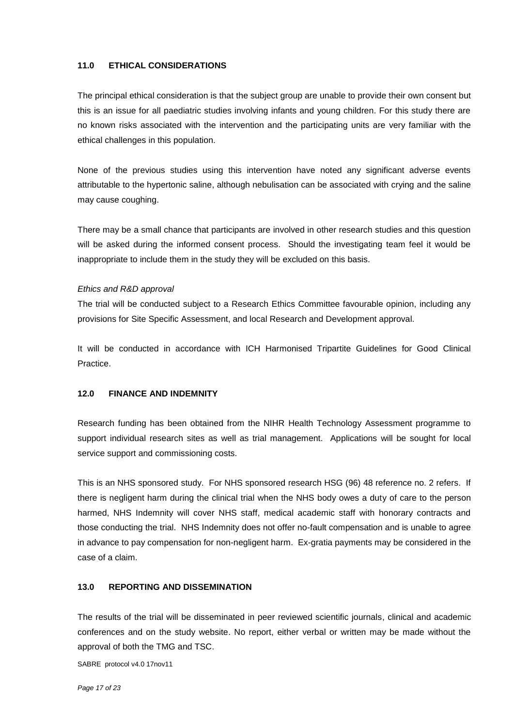#### **11.0 ETHICAL CONSIDERATIONS**

The principal ethical consideration is that the subject group are unable to provide their own consent but this is an issue for all paediatric studies involving infants and young children. For this study there are no known risks associated with the intervention and the participating units are very familiar with the ethical challenges in this population.

None of the previous studies using this intervention have noted any significant adverse events attributable to the hypertonic saline, although nebulisation can be associated with crying and the saline may cause coughing.

There may be a small chance that participants are involved in other research studies and this question will be asked during the informed consent process. Should the investigating team feel it would be inappropriate to include them in the study they will be excluded on this basis.

#### *Ethics and R&D approval*

The trial will be conducted subject to a Research Ethics Committee favourable opinion, including any provisions for Site Specific Assessment, and local Research and Development approval.

It will be conducted in accordance with ICH Harmonised Tripartite Guidelines for Good Clinical Practice.

#### **12.0 FINANCE AND INDEMNITY**

Research funding has been obtained from the NIHR Health Technology Assessment programme to support individual research sites as well as trial management. Applications will be sought for local service support and commissioning costs.

This is an NHS sponsored study. For NHS sponsored research HSG (96) 48 reference no. 2 refers. If there is negligent harm during the clinical trial when the NHS body owes a duty of care to the person harmed, NHS Indemnity will cover NHS staff, medical academic staff with honorary contracts and those conducting the trial. NHS Indemnity does not offer no-fault compensation and is unable to agree in advance to pay compensation for non-negligent harm. Ex-gratia payments may be considered in the case of a claim.

#### **13.0 REPORTING AND DISSEMINATION**

The results of the trial will be disseminated in peer reviewed scientific journals, clinical and academic conferences and on the study website. No report, either verbal or written may be made without the approval of both the TMG and TSC.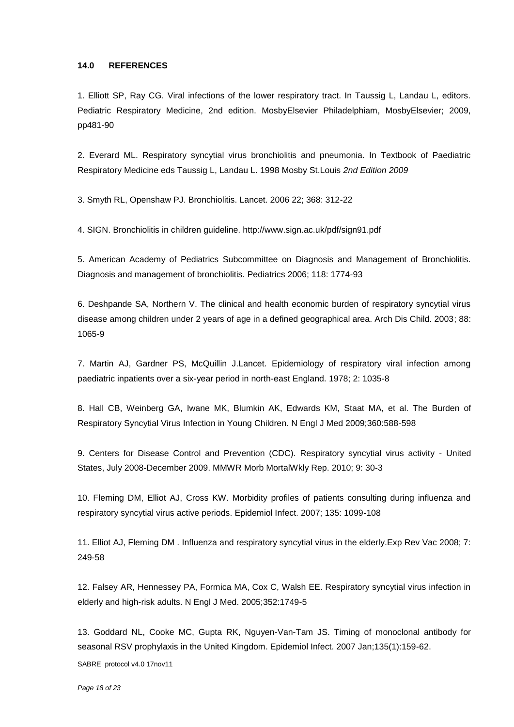#### **14.0 REFERENCES**

1. Elliott SP, Ray CG. Viral infections of the lower respiratory tract. In Taussig L, Landau L, editors. Pediatric Respiratory Medicine, 2nd edition. MosbyElsevier Philadelphiam, MosbyElsevier; 2009, pp481-90

2. Everard ML. Respiratory syncytial virus bronchiolitis and pneumonia. In Textbook of Paediatric Respiratory Medicine eds Taussig L, Landau L. 1998 Mosby St.Louis *2nd Edition 2009* 

3. Smyth RL, Openshaw PJ. Bronchiolitis. Lancet. 2006 22; 368: 312-22

4. SIGN. Bronchiolitis in children guideline. http://www.sign.ac.uk/pdf/sign91.pdf

5. American Academy of Pediatrics Subcommittee on Diagnosis and Management of Bronchiolitis. Diagnosis and management of bronchiolitis. Pediatrics 2006; 118: 1774-93

6. Deshpande SA, Northern V. The clinical and health economic burden of respiratory syncytial virus disease among children under 2 years of age in a defined geographical area. Arch Dis Child. 2003; 88: 1065-9

7. Martin AJ, Gardner PS, McQuillin J.Lancet. Epidemiology of respiratory viral infection among paediatric inpatients over a six-year period in north-east England. 1978; 2: 1035-8

8. Hall CB, Weinberg GA, Iwane MK, Blumkin AK, Edwards KM, Staat MA, et al. The Burden of Respiratory Syncytial Virus Infection in Young Children. N Engl J Med 2009;360:588-598

9. Centers for Disease Control and Prevention (CDC). Respiratory syncytial virus activity - United States, July 2008-December 2009. MMWR Morb MortalWkly Rep. 2010; 9: 30-3

10. Fleming DM, Elliot AJ, Cross KW. Morbidity profiles of patients consulting during influenza and respiratory syncytial virus active periods. Epidemiol Infect. 2007; 135: 1099-108

11. Elliot AJ, Fleming DM . Influenza and respiratory syncytial virus in the elderly.Exp Rev Vac 2008; 7: 249-58

12. Falsey AR, Hennessey PA, Formica MA, Cox C, Walsh EE. Respiratory syncytial virus infection in elderly and high-risk adults. N Engl J Med. 2005;352:1749-5

SABRE protocol v4.0 17nov11 13. Goddard NL, Cooke MC, Gupta RK, Nguyen-Van-Tam JS. Timing of monoclonal antibody for seasonal RSV prophylaxis in the United Kingdom. Epidemiol Infect. 2007 Jan;135(1):159-62.

*Page 18 of 23*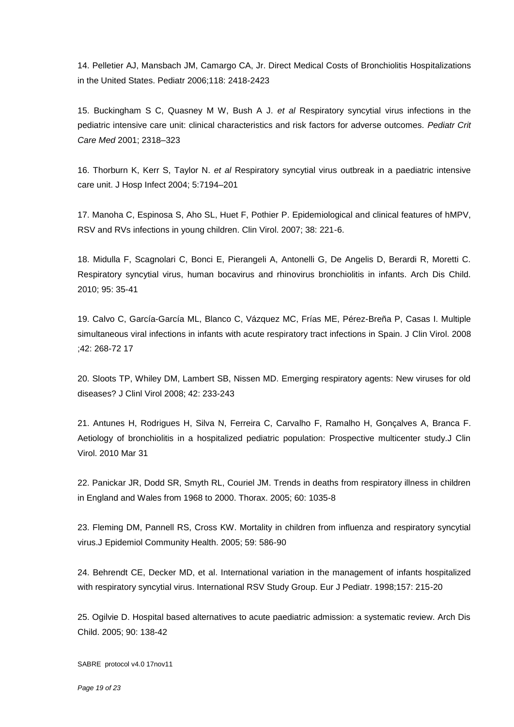14. Pelletier AJ, Mansbach JM, Camargo CA, Jr. Direct Medical Costs of Bronchiolitis Hospitalizations in the United States. Pediatr 2006;118: 2418-2423

15. Buckingham S C, Quasney M W, Bush A J. *et al* Respiratory syncytial virus infections in the pediatric intensive care unit: clinical characteristics and risk factors for adverse outcomes. *Pediatr Crit Care Med* 2001; 2318–323

16. Thorburn K, Kerr S, Taylor N. *et al* Respiratory syncytial virus outbreak in a paediatric intensive care unit. J Hosp Infect 2004; 5:7194–201

17. Manoha C, Espinosa S, Aho SL, Huet F, Pothier P. Epidemiological and clinical features of hMPV, RSV and RVs infections in young children. Clin Virol. 2007; 38: 221-6.

18. Midulla F, Scagnolari C, Bonci E, Pierangeli A, Antonelli G, De Angelis D, Berardi R, Moretti C. Respiratory syncytial virus, human bocavirus and rhinovirus bronchiolitis in infants. Arch Dis Child. 2010; 95: 35-41

19. Calvo C, García-García ML, Blanco C, Vázquez MC, Frías ME, Pérez-Breña P, Casas I. Multiple simultaneous viral infections in infants with acute respiratory tract infections in Spain. J Clin Virol. 2008 ;42: 268-72 17

20. Sloots TP, Whiley DM, Lambert SB, Nissen MD. Emerging respiratory agents: New viruses for old diseases? J Clinl Virol 2008; 42: 233-243

21. Antunes H, Rodrigues H, Silva N, Ferreira C, Carvalho F, Ramalho H, Gonçalves A, Branca F. Aetiology of bronchiolitis in a hospitalized pediatric population: Prospective multicenter study.J Clin Virol. 2010 Mar 31

22. Panickar JR, Dodd SR, Smyth RL, Couriel JM. Trends in deaths from respiratory illness in children in England and Wales from 1968 to 2000. Thorax. 2005; 60: 1035-8

23. Fleming DM, Pannell RS, Cross KW. Mortality in children from influenza and respiratory syncytial virus.J Epidemiol Community Health. 2005; 59: 586-90

24. Behrendt CE, Decker MD, et al. International variation in the management of infants hospitalized with respiratory syncytial virus. International RSV Study Group. Eur J Pediatr. 1998;157: 215-20

25. Ogilvie D. Hospital based alternatives to acute paediatric admission: a systematic review. Arch Dis Child. 2005; 90: 138-42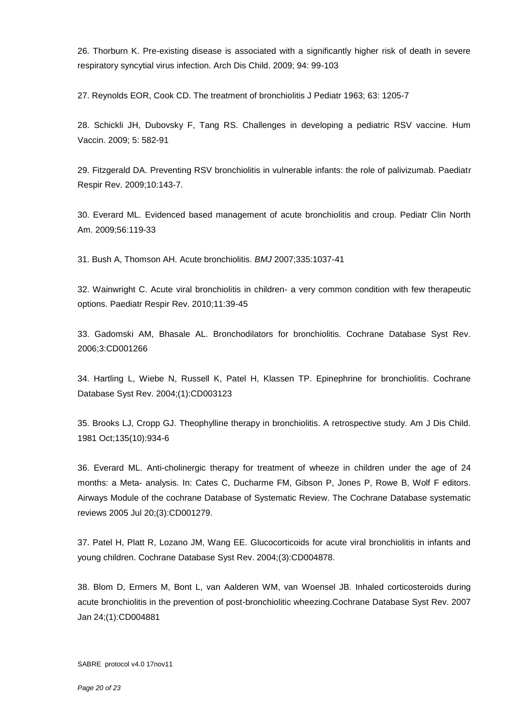26. Thorburn K. Pre-existing disease is associated with a significantly higher risk of death in severe respiratory syncytial virus infection. Arch Dis Child. 2009; 94: 99-103

27. Reynolds EOR, Cook CD. The treatment of bronchiolitis J Pediatr 1963; 63: 1205-7

28. Schickli JH, Dubovsky F, Tang RS. Challenges in developing a pediatric RSV vaccine. Hum Vaccin. 2009; 5: 582-91

29. Fitzgerald DA. Preventing RSV bronchiolitis in vulnerable infants: the role of palivizumab. Paediatr Respir Rev. 2009;10:143-7.

30. Everard ML. Evidenced based management of acute bronchiolitis and croup. Pediatr Clin North Am. 2009;56:119-33

31. Bush A, Thomson AH. Acute bronchiolitis. *BMJ* 2007;335:1037-41

32. Wainwright C. Acute viral bronchiolitis in children- a very common condition with few therapeutic options. Paediatr Respir Rev. 2010;11:39-45

33. Gadomski AM, Bhasale AL. Bronchodilators for bronchiolitis. Cochrane Database Syst Rev. 2006;3:CD001266

34. Hartling L, Wiebe N, Russell K, Patel H, Klassen TP. Epinephrine for bronchiolitis. Cochrane Database Syst Rev. 2004;(1):CD003123

35. Brooks LJ, Cropp GJ. Theophylline therapy in bronchiolitis. A retrospective study. Am J Dis Child. 1981 Oct;135(10):934-6

36. Everard ML. Anti-cholinergic therapy for treatment of wheeze in children under the age of 24 months: a Meta- analysis. In: Cates C, Ducharme FM, Gibson P, Jones P, Rowe B, Wolf F editors. Airways Module of the cochrane Database of Systematic Review. The Cochrane Database systematic reviews 2005 Jul 20;(3):CD001279.

37. Patel H, Platt R, Lozano JM, Wang EE. Glucocorticoids for acute viral bronchiolitis in infants and young children. Cochrane Database Syst Rev. 2004;(3):CD004878.

38. Blom D, Ermers M, Bont L, van Aalderen WM, van Woensel JB. Inhaled corticosteroids during acute bronchiolitis in the prevention of post-bronchiolitic wheezing.Cochrane Database Syst Rev. 2007 Jan 24;(1):CD004881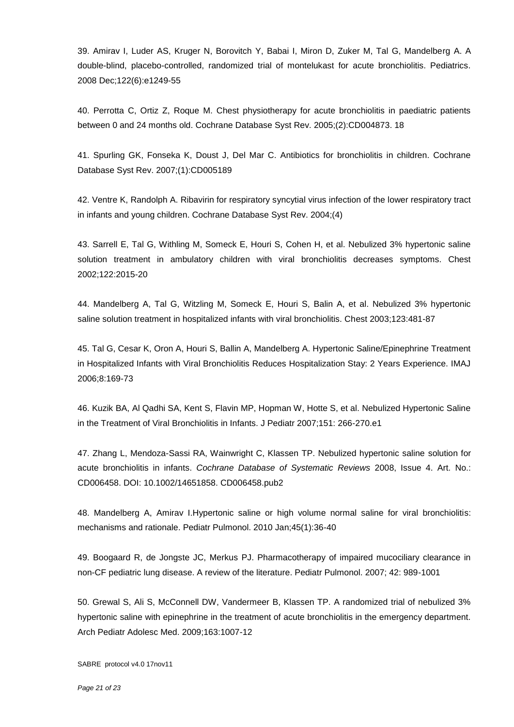39. Amirav I, Luder AS, Kruger N, Borovitch Y, Babai I, Miron D, Zuker M, Tal G, Mandelberg A. A double-blind, placebo-controlled, randomized trial of montelukast for acute bronchiolitis. Pediatrics. 2008 Dec;122(6):e1249-55

40. Perrotta C, Ortiz Z, Roque M. Chest physiotherapy for acute bronchiolitis in paediatric patients between 0 and 24 months old. Cochrane Database Syst Rev. 2005;(2):CD004873. 18

41. Spurling GK, Fonseka K, Doust J, Del Mar C. Antibiotics for bronchiolitis in children. Cochrane Database Syst Rev. 2007;(1):CD005189

42. Ventre K, Randolph A. Ribavirin for respiratory syncytial virus infection of the lower respiratory tract in infants and young children. Cochrane Database Syst Rev. 2004;(4)

43. Sarrell E, Tal G, Withling M, Someck E, Houri S, Cohen H, et al. Nebulized 3% hypertonic saline solution treatment in ambulatory children with viral bronchiolitis decreases symptoms. Chest 2002;122:2015-20

44. Mandelberg A, Tal G, Witzling M, Someck E, Houri S, Balin A, et al. Nebulized 3% hypertonic saline solution treatment in hospitalized infants with viral bronchiolitis. Chest 2003;123:481-87

45. Tal G, Cesar K, Oron A, Houri S, Ballin A, Mandelberg A. Hypertonic Saline/Epinephrine Treatment in Hospitalized Infants with Viral Bronchiolitis Reduces Hospitalization Stay: 2 Years Experience. IMAJ 2006;8:169-73

46. Kuzik BA, Al Qadhi SA, Kent S, Flavin MP, Hopman W, Hotte S, et al. Nebulized Hypertonic Saline in the Treatment of Viral Bronchiolitis in Infants. J Pediatr 2007;151: 266-270.e1

47. Zhang L, Mendoza-Sassi RA, Wainwright C, Klassen TP. Nebulized hypertonic saline solution for acute bronchiolitis in infants. *Cochrane Database of Systematic Reviews* 2008, Issue 4. Art. No.: CD006458. DOI: 10.1002/14651858. CD006458.pub2

48. Mandelberg A, Amirav I.Hypertonic saline or high volume normal saline for viral bronchiolitis: mechanisms and rationale. Pediatr Pulmonol. 2010 Jan;45(1):36-40

49. Boogaard R, de Jongste JC, Merkus PJ. Pharmacotherapy of impaired mucociliary clearance in non-CF pediatric lung disease. A review of the literature. Pediatr Pulmonol. 2007; 42: 989-1001

50. Grewal S, Ali S, McConnell DW, Vandermeer B, Klassen TP. A randomized trial of nebulized 3% hypertonic saline with epinephrine in the treatment of acute bronchiolitis in the emergency department. Arch Pediatr Adolesc Med. 2009;163:1007-12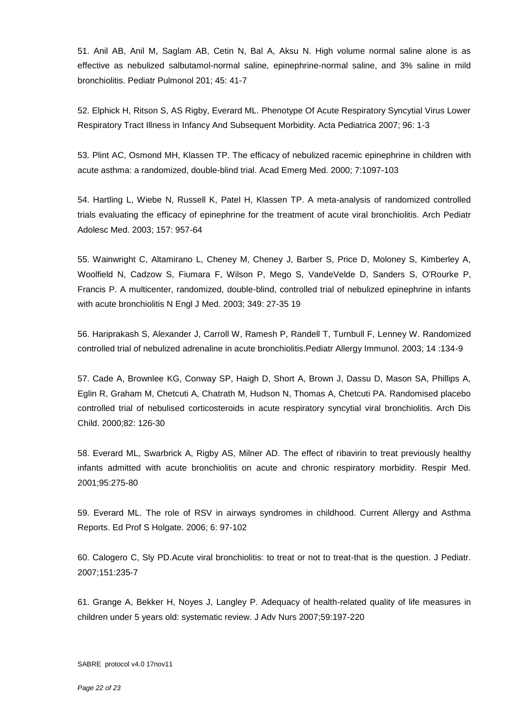51. Anil AB, Anil M, Saglam AB, Cetin N, Bal A, Aksu N. High volume normal saline alone is as effective as nebulized salbutamol-normal saline, epinephrine-normal saline, and 3% saline in mild bronchiolitis. Pediatr Pulmonol 201; 45: 41-7

52. Elphick H, Ritson S, AS Rigby, Everard ML. Phenotype Of Acute Respiratory Syncytial Virus Lower Respiratory Tract Illness in Infancy And Subsequent Morbidity. Acta Pediatrica 2007; 96: 1-3

53. Plint AC, Osmond MH, Klassen TP. The efficacy of nebulized racemic epinephrine in children with acute asthma: a randomized, double-blind trial. Acad Emerg Med. 2000; 7:1097-103

54. Hartling L, Wiebe N, Russell K, Patel H, Klassen TP. A meta-analysis of randomized controlled trials evaluating the efficacy of epinephrine for the treatment of acute viral bronchiolitis. Arch Pediatr Adolesc Med. 2003; 157: 957-64

55. Wainwright C, Altamirano L, Cheney M, Cheney J, Barber S, Price D, Moloney S, Kimberley A, Woolfield N, Cadzow S, Fiumara F, Wilson P, Mego S, VandeVelde D, Sanders S, O'Rourke P, Francis P. A multicenter, randomized, double-blind, controlled trial of nebulized epinephrine in infants with acute bronchiolitis N Engl J Med. 2003; 349: 27-35 19

56. Hariprakash S, Alexander J, Carroll W, Ramesh P, Randell T, Turnbull F, Lenney W. Randomized controlled trial of nebulized adrenaline in acute bronchiolitis.Pediatr Allergy Immunol. 2003; 14 :134-9

57. Cade A, Brownlee KG, Conway SP, Haigh D, Short A, Brown J, Dassu D, Mason SA, Phillips A, Eglin R, Graham M, Chetcuti A, Chatrath M, Hudson N, Thomas A, Chetcuti PA. Randomised placebo controlled trial of nebulised corticosteroids in acute respiratory syncytial viral bronchiolitis. Arch Dis Child. 2000;82: 126-30

58. Everard ML, Swarbrick A, Rigby AS, Milner AD. The effect of ribavirin to treat previously healthy infants admitted with acute bronchiolitis on acute and chronic respiratory morbidity. Respir Med. 2001;95:275-80

59. Everard ML. The role of RSV in airways syndromes in childhood. Current Allergy and Asthma Reports. Ed Prof S Holgate. 2006; 6: 97-102

60. Calogero C, Sly PD.Acute viral bronchiolitis: to treat or not to treat-that is the question. J Pediatr. 2007;151:235-7

61. Grange A, Bekker H, Noyes J, Langley P. Adequacy of health-related quality of life measures in children under 5 years old: systematic review. J Adv Nurs 2007;59:197-220